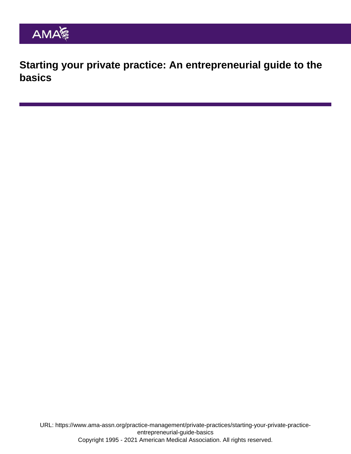Starting your private practice: An entrepreneurial guide to the basics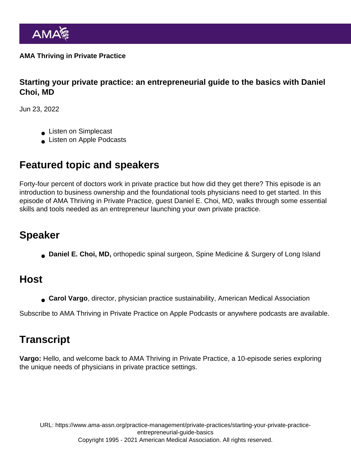AMA Thriving in Private Practice

Starting your private practice: an entrepreneurial guide to the basics with Daniel Choi, MD

Jun 23, 2022

- **Listen on Simplecast**
- **Listen on Apple Podcasts**

## Featured topic and speakers

Forty-four percent of doctors work in private practice but how did they get there? This episode is an introduction to business ownership and the foundational tools physicians need to get started. In this episode of AMA Thriving in Private Practice, guest Daniel E. Choi, MD, walks through some essential skills and tools needed as an entrepreneur launching your own private practice.

## Speaker

Daniel E. Choi, MD, orthopedic spinal surgeon, Spine Medicine & Surgery of Long Island

## **Host**

Carol Vargo , director, physician practice sustainability, American Medical Association

Subscribe to AMA Thriving in Private Practice on [Apple Podcasts](https://podcasts.apple.com/us/podcast/ama-thriving-in-private-practice/id1625133504) or anywhere [podcasts are available.](https://ama-thriving-in-private-practice.simplecast.com/)

## **Transcript**

Vargo: Hello, and welcome back to AMA Thriving in Private Practice, a 10-episode series exploring the unique needs of physicians in private practice settings.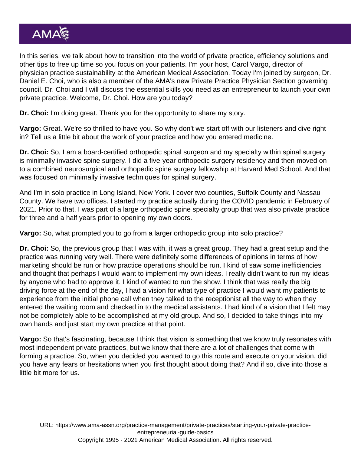In this series, we talk about how to transition into the world of private practice, efficiency solutions and other tips to free up time so you focus on your patients. I'm your host, Carol Vargo, director of physician practice sustainability at the American Medical Association. Today I'm joined by surgeon, Dr. Daniel E. Choi, who is also a member of the AMA's new Private Practice Physician Section governing council. Dr. Choi and I will discuss the essential skills you need as an entrepreneur to launch your own private practice. Welcome, Dr. Choi. How are you today?

Dr. Choi: I'm doing great. Thank you for the opportunity to share my story.

Vargo: Great. We're so thrilled to have you. So why don't we start off with our listeners and dive right in? Tell us a little bit about the work of your practice and how you entered medicine.

Dr. Choi: So, I am a board-certified orthopedic spinal surgeon and my specialty within spinal surgery is minimally invasive spine surgery. I did a five-year orthopedic surgery residency and then moved on to a combined neurosurgical and orthopedic spine surgery fellowship at Harvard Med School. And that was focused on minimally invasive techniques for spinal surgery.

And I'm in solo practice in Long Island, New York. I cover two counties, Suffolk County and Nassau County. We have two offices. I started my practice actually during the COVID pandemic in February of 2021. Prior to that, I was part of a large orthopedic spine specialty group that was also private practice for three and a half years prior to opening my own doors.

Vargo: So, what prompted you to go from a larger orthopedic group into solo practice?

Dr. Choi: So, the previous group that I was with, it was a great group. They had a great setup and the practice was running very well. There were definitely some differences of opinions in terms of how marketing should be run or how practice operations should be run. I kind of saw some inefficiencies and thought that perhaps I would want to implement my own ideas. I really didn't want to run my ideas by anyone who had to approve it. I kind of wanted to run the show. I think that was really the big driving force at the end of the day, I had a vision for what type of practice I would want my patients to experience from the initial phone call when they talked to the receptionist all the way to when they entered the waiting room and checked in to the medical assistants. I had kind of a vision that I felt may not be completely able to be accomplished at my old group. And so, I decided to take things into my own hands and just start my own practice at that point.

Vargo: So that's fascinating, because I think that vision is something that we know truly resonates with most independent private practices, but we know that there are a lot of challenges that come with forming a practice. So, when you decided you wanted to go this route and execute on your vision, did you have any fears or hesitations when you first thought about doing that? And if so, dive into those a little bit more for us.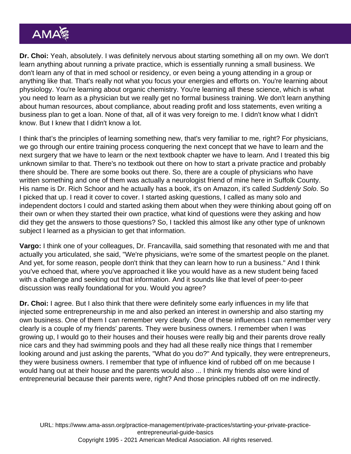Dr. Choi: Yeah, absolutely. I was definitely nervous about starting something all on my own. We don't learn anything about running a private practice, which is essentially running a small business. We don't learn any of that in med school or residency, or even being a young attending in a group or anything like that. That's really not what you focus your energies and efforts on. You're learning about physiology. You're learning about organic chemistry. You're learning all these science, which is what you need to learn as a physician but we really get no formal business training. We don't learn anything about human resources, about compliance, about reading profit and loss statements, even writing a business plan to get a loan. None of that, all of it was very foreign to me. I didn't know what I didn't know. But I knew that I didn't know a lot.

I think that's the principles of learning something new, that's very familiar to me, right? For physicians, we go through our entire training process conquering the next concept that we have to learn and the next surgery that we have to learn or the next textbook chapter we have to learn. And I treated this big unknown similar to that. There's no textbook out there on how to start a private practice and probably there should be. There are some books out there. So, there are a couple of physicians who have written something and one of them was actually a neurologist friend of mine here in Suffolk County. His name is Dr. Rich Schoor and he actually has a book, it's on Amazon, it's called Suddenly Solo. So I picked that up. I read it cover to cover. I started asking questions, I called as many solo and independent doctors I could and started asking them about when they were thinking about going off on their own or when they started their own practice, what kind of questions were they asking and how did they get the answers to those questions? So, I tackled this almost like any other type of unknown subject I learned as a physician to get that information.

Vargo: I think one of your colleagues, Dr. Francavilla, said something that resonated with me and that actually you articulated, she said, "We're physicians, we're some of the smartest people on the planet. And yet, for some reason, people don't think that they can learn how to run a business." And I think you've echoed that, where you've approached it like you would have as a new student being faced with a challenge and seeking out that information. And it sounds like that level of peer-to-peer discussion was really foundational for you. Would you agree?

Dr. Choi: I agree. But I also think that there were definitely some early influences in my life that injected some entrepreneurship in me and also perked an interest in ownership and also starting my own business. One of them I can remember very clearly. One of these influences I can remember very clearly is a couple of my friends' parents. They were business owners. I remember when I was growing up, I would go to their houses and their houses were really big and their parents drove really nice cars and they had swimming pools and they had all these really nice things that I remember looking around and just asking the parents, "What do you do?" And typically, they were entrepreneurs, they were business owners. I remember that type of influence kind of rubbed off on me because I would hang out at their house and the parents would also ... I think my friends also were kind of entrepreneurial because their parents were, right? And those principles rubbed off on me indirectly.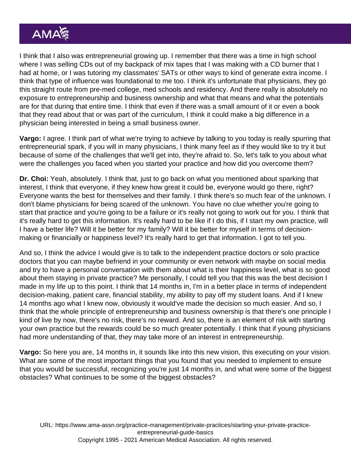I think that I also was entrepreneurial growing up. I remember that there was a time in high school where I was selling CDs out of my backpack of mix tapes that I was making with a CD burner that I had at home, or I was tutoring my classmates' SATs or other ways to kind of generate extra income. I think that type of influence was foundational to me too. I think it's unfortunate that physicians, they go this straight route from pre-med college, med schools and residency. And there really is absolutely no exposure to entrepreneurship and business ownership and what that means and what the potentials are for that during that entire time. I think that even if there was a small amount of it or even a book that they read about that or was part of the curriculum, I think it could make a big difference in a physician being interested in being a small business owner.

Vargo: I agree. I think part of what we're trying to achieve by talking to you today is really spurring that entrepreneurial spark, if you will in many physicians, I think many feel as if they would like to try it but because of some of the challenges that we'll get into, they're afraid to. So, let's talk to you about what were the challenges you faced when you started your practice and how did you overcome them?

Dr. Choi: Yeah, absolutely. I think that, just to go back on what you mentioned about sparking that interest, I think that everyone, if they knew how great it could be, everyone would go there, right? Everyone wants the best for themselves and their family. I think there's so much fear of the unknown. I don't blame physicians for being scared of the unknown. You have no clue whether you're going to start that practice and you're going to be a failure or it's really not going to work out for you. I think that it's really hard to get this information. It's really hard to be like if I do this, if I start my own practice, will I have a better life? Will it be better for my family? Will it be better for myself in terms of decisionmaking or financially or happiness level? It's really hard to get that information. I got to tell you.

And so, I think the advice I would give is to talk to the independent practice doctors or solo practice doctors that you can maybe befriend in your community or even network with maybe on social media and try to have a personal conversation with them about what is their happiness level, what is so good about them staying in private practice? Me personally, I could tell you that this was the best decision I made in my life up to this point. I think that 14 months in, I'm in a better place in terms of independent decision-making, patient care, financial stability, my ability to pay off my student loans. And if I knew 14 months ago what I knew now, obviously it would've made the decision so much easier. And so, I think that the whole principle of entrepreneurship and business ownership is that there's one principle I kind of live by now, there's no risk, there's no reward. And so, there is an element of risk with starting your own practice but the rewards could be so much greater potentially. I think that if young physicians had more understanding of that, they may take more of an interest in entrepreneurship.

Vargo: So here you are, 14 months in, it sounds like into this new vision, this executing on your vision. What are some of the most important things that you found that you needed to implement to ensure that you would be successful, recognizing you're just 14 months in, and what were some of the biggest obstacles? What continues to be some of the biggest obstacles?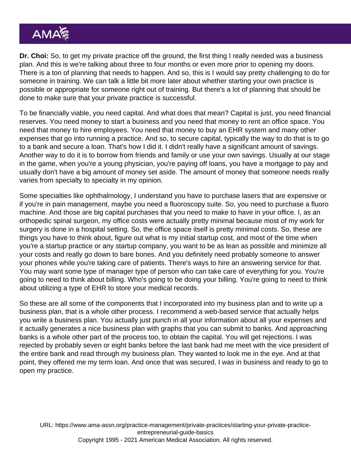Dr. Choi: So, to get my private practice off the ground, the first thing I really needed was a business plan. And this is we're talking about three to four months or even more prior to opening my doors. There is a ton of planning that needs to happen. And so, this is I would say pretty challenging to do for someone in training. We can talk a little bit more later about whether starting your own practice is possible or appropriate for someone right out of training. But there's a lot of planning that should be done to make sure that your private practice is successful.

To be financially viable, you need capital. And what does that mean? Capital is just, you need financial reserves. You need money to start a business and you need that money to rent an office space. You need that money to hire employees. You need that money to buy an EHR system and many other expenses that go into running a practice. And so, to secure capital, typically the way to do that is to go to a bank and secure a loan. That's how I did it. I didn't really have a significant amount of savings. Another way to do it is to borrow from friends and family or use your own savings. Usually at our stage in the game, when you're a young physician, you're paying off loans, you have a mortgage to pay and usually don't have a big amount of money set aside. The amount of money that someone needs really varies from specialty to specialty in my opinion.

Some specialties like ophthalmology, I understand you have to purchase lasers that are expensive or if you're in pain management, maybe you need a fluoroscopy suite. So, you need to purchase a fluoro machine. And those are big capital purchases that you need to make to have in your office. I, as an orthopedic spinal surgeon, my office costs were actually pretty minimal because most of my work for surgery is done in a hospital setting. So, the office space itself is pretty minimal costs. So, these are things you have to think about, figure out what is my initial startup cost, and most of the time when you're a startup practice or any startup company, you want to be as lean as possible and minimize all your costs and really go down to bare bones. And you definitely need probably someone to answer your phones while you're taking care of patients. There's ways to hire an answering service for that. You may want some type of manager type of person who can take care of everything for you. You're going to need to think about billing. Who's going to be doing your billing. You're going to need to think about utilizing a type of EHR to store your medical records.

So these are all some of the components that I incorporated into my business plan and to write up a business plan, that is a whole other process. I recommend a web-based service that actually helps you write a business plan. You actually just punch in all your information about all your expenses and it actually generates a nice business plan with graphs that you can submit to banks. And approaching banks is a whole other part of the process too, to obtain the capital. You will get rejections. I was rejected by probably seven or eight banks before the last bank had me meet with the vice president of the entire bank and read through my business plan. They wanted to look me in the eye. And at that point, they offered me my term loan. And once that was secured, I was in business and ready to go to open my practice.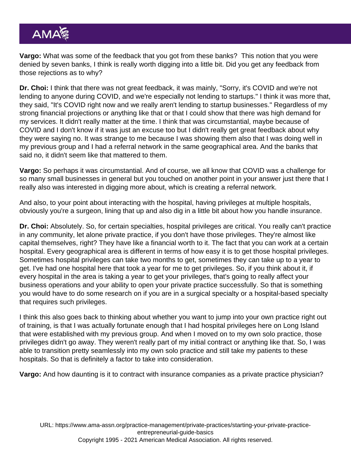Vargo: What was some of the feedback that you got from these banks? This notion that you were denied by seven banks, I think is really worth digging into a little bit. Did you get any feedback from those rejections as to why?

Dr. Choi: I think that there was not great feedback, it was mainly, "Sorry, it's COVID and we're not lending to anyone during COVID, and we're especially not lending to startups." I think it was more that, they said, "It's COVID right now and we really aren't lending to startup businesses." Regardless of my strong financial projections or anything like that or that I could show that there was high demand for my services. It didn't really matter at the time. I think that was circumstantial, maybe because of COVID and I don't know if it was just an excuse too but I didn't really get great feedback about why they were saying no. It was strange to me because I was showing them also that I was doing well in my previous group and I had a referral network in the same geographical area. And the banks that said no, it didn't seem like that mattered to them.

Vargo: So perhaps it was circumstantial. And of course, we all know that COVID was a challenge for so many small businesses in general but you touched on another point in your answer just there that I really also was interested in digging more about, which is creating a referral network.

And also, to your point about interacting with the hospital, having privileges at multiple hospitals, obviously you're a surgeon, lining that up and also dig in a little bit about how you handle insurance.

Dr. Choi: Absolutely. So, for certain specialties, hospital privileges are critical. You really can't practice in any community, let alone private practice, if you don't have those privileges. They're almost like capital themselves, right? They have like a financial worth to it. The fact that you can work at a certain hospital. Every geographical area is different in terms of how easy it is to get those hospital privileges. Sometimes hospital privileges can take two months to get, sometimes they can take up to a year to get. I've had one hospital here that took a year for me to get privileges. So, if you think about it, if every hospital in the area is taking a year to get your privileges, that's going to really affect your business operations and your ability to open your private practice successfully. So that is something you would have to do some research on if you are in a surgical specialty or a hospital-based specialty that requires such privileges.

I think this also goes back to thinking about whether you want to jump into your own practice right out of training, is that I was actually fortunate enough that I had hospital privileges here on Long Island that were established with my previous group. And when I moved on to my own solo practice, those privileges didn't go away. They weren't really part of my initial contract or anything like that. So, I was able to transition pretty seamlessly into my own solo practice and still take my patients to these hospitals. So that is definitely a factor to take into consideration.

Vargo: And how daunting is it to contract with insurance companies as a private practice physician?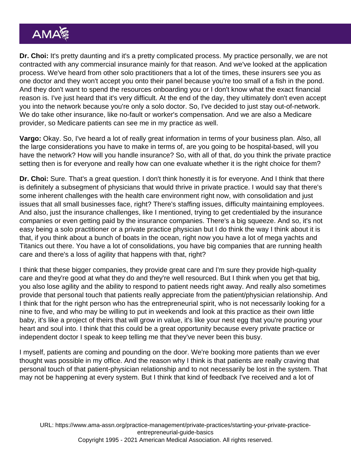Dr. Choi: It's pretty daunting and it's a pretty complicated process. My practice personally, we are not contracted with any commercial insurance mainly for that reason. And we've looked at the application process. We've heard from other solo practitioners that a lot of the times, these insurers see you as one doctor and they won't accept you onto their panel because you're too small of a fish in the pond. And they don't want to spend the resources onboarding you or I don't know what the exact financial reason is. I've just heard that it's very difficult. At the end of the day, they ultimately don't even accept you into the network because you're only a solo doctor. So, I've decided to just stay out-of-network. We do take other insurance, like no-fault or worker's compensation. And we are also a Medicare provider, so Medicare patients can see me in my practice as well.

Vargo: Okay. So, I've heard a lot of really great information in terms of your business plan. Also, all the large considerations you have to make in terms of, are you going to be hospital-based, will you have the network? How will you handle insurance? So, with all of that, do you think the private practice setting then is for everyone and really how can one evaluate whether it is the right choice for them?

Dr. Choi: Sure. That's a great question. I don't think honestly it is for everyone. And I think that there is definitely a subsegment of physicians that would thrive in private practice. I would say that there's some inherent challenges with the health care environment right now, with consolidation and just issues that all small businesses face, right? There's staffing issues, difficulty maintaining employees. And also, just the insurance challenges, like I mentioned, trying to get credentialed by the insurance companies or even getting paid by the insurance companies. There's a big squeeze. And so, it's not easy being a solo practitioner or a private practice physician but I do think the way I think about it is that, if you think about a bunch of boats in the ocean, right now you have a lot of mega yachts and Titanics out there. You have a lot of consolidations, you have big companies that are running health care and there's a loss of agility that happens with that, right?

I think that these bigger companies, they provide great care and I'm sure they provide high-quality care and they're good at what they do and they're well resourced. But I think when you get that big, you also lose agility and the ability to respond to patient needs right away. And really also sometimes provide that personal touch that patients really appreciate from the patient/physician relationship. And I think that for the right person who has the entrepreneurial spirit, who is not necessarily looking for a nine to five, and who may be willing to put in weekends and look at this practice as their own little baby, it's like a project of theirs that will grow in value, it's like your nest egg that you're pouring your heart and soul into. I think that this could be a great opportunity because every private practice or independent doctor I speak to keep telling me that they've never been this busy.

I myself, patients are coming and pounding on the door. We're booking more patients than we ever thought was possible in my office. And the reason why I think is that patients are really craving that personal touch of that patient-physician relationship and to not necessarily be lost in the system. That may not be happening at every system. But I think that kind of feedback I've received and a lot of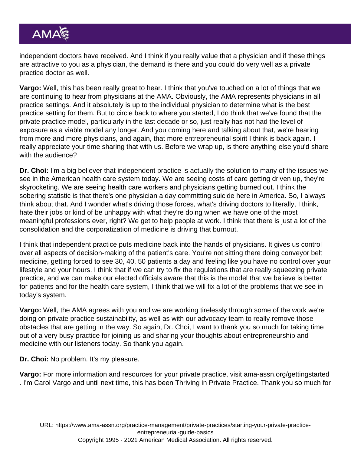independent doctors have received. And I think if you really value that a physician and if these things are attractive to you as a physician, the demand is there and you could do very well as a private practice doctor as well.

Vargo: Well, this has been really great to hear. I think that you've touched on a lot of things that we are continuing to hear from physicians at the AMA. Obviously, the AMA represents physicians in all practice settings. And it absolutely is up to the individual physician to determine what is the best practice setting for them. But to circle back to where you started, I do think that we've found that the private practice model, particularly in the last decade or so, just really has not had the level of exposure as a viable model any longer. And you coming here and talking about that, we're hearing from more and more physicians, and again, that more entrepreneurial spirit I think is back again. I really appreciate your time sharing that with us. Before we wrap up, is there anything else you'd share with the audience?

Dr. Choi: I'm a big believer that independent practice is actually the solution to many of the issues we see in the American health care system today. We are seeing costs of care getting driven up, they're skyrocketing. We are seeing health care workers and physicians getting burned out. I think the sobering statistic is that there's one physician a day committing suicide here in America. So, I always think about that. And I wonder what's driving those forces, what's driving doctors to literally, I think, hate their jobs or kind of be unhappy with what they're doing when we have one of the most meaningful professions ever, right? We get to help people at work. I think that there is just a lot of the consolidation and the corporatization of medicine is driving that burnout.

I think that independent practice puts medicine back into the hands of physicians. It gives us control over all aspects of decision-making of the patient's care. You're not sitting there doing conveyor belt medicine, getting forced to see 30, 40, 50 patients a day and feeling like you have no control over your lifestyle and your hours. I think that if we can try to fix the regulations that are really squeezing private practice, and we can make our elected officials aware that this is the model that we believe is better for patients and for the health care system, I think that we will fix a lot of the problems that we see in today's system.

Vargo: Well, the AMA agrees with you and we are working tirelessly through some of the work we're doing on private practice sustainability, as well as with our advocacy team to really remove those obstacles that are getting in the way. So again, Dr. Choi, I want to thank you so much for taking time out of a very busy practice for joining us and sharing your thoughts about entrepreneurship and medicine with our listeners today. So thank you again.

Dr. Choi: No problem. It's my pleasure.

Vargo: For more information and resources for your private practice, visit [ama-assn.org/gettingstarted](http://ama-assn.org/gettingstarted) . I'm Carol Vargo and until next time, this has been Thriving in Private Practice. Thank you so much for